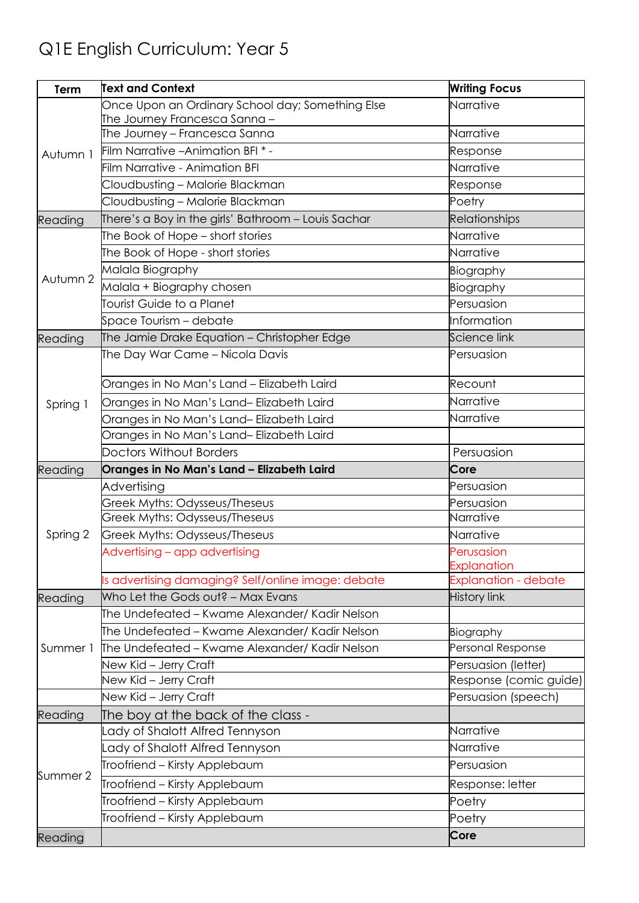## Q1E English Curriculum: Year 5

| Term     | <b>Text and Context</b>                             | <b>Writing Focus</b>             |
|----------|-----------------------------------------------------|----------------------------------|
|          | Once Upon an Ordinary School day; Something Else    | Narrative                        |
| Autumn 1 | The Journey Francesca Sanna –                       |                                  |
|          | The Journey - Francesca Sanna                       | Narrative                        |
|          | Film Narrative - Animation BFI *-                   | Response                         |
|          | <b>Film Narrative - Animation BFI</b>               | Narrative                        |
|          | Cloudbusting - Malorie Blackman                     | Response                         |
|          | Cloudbusting - Malorie Blackman                     | Poetry                           |
| Reading  | There's a Boy in the girls' Bathroom – Louis Sachar | Relationships                    |
| Autumn 2 | The Book of Hope - short stories                    | Narrative                        |
|          | The Book of Hope - short stories                    | Narrative                        |
|          | Malala Biography                                    | Biography                        |
|          | Malala + Biography chosen                           | Biography                        |
|          | Tourist Guide to a Planet                           | Persuasion                       |
|          | Space Tourism – debate                              | Information                      |
| Reading  | The Jamie Drake Equation - Christopher Edge         | Science link                     |
| Spring 1 | The Day War Came - Nicola Davis                     | Persuasion                       |
|          |                                                     |                                  |
|          | Oranges in No Man's Land - Elizabeth Laird          | Recount                          |
|          | Oranges in No Man's Land-Elizabeth Laird            | Narrative                        |
|          | Oranges in No Man's Land-Elizabeth Laird            | Narrative                        |
|          | Oranges in No Man's Land- Elizabeth Laird           |                                  |
|          | <b>Doctors Without Borders</b>                      | Persuasion                       |
|          |                                                     |                                  |
| Reading  | Oranges in No Man's Land - Elizabeth Laird          | Core                             |
|          | Advertising                                         | Persuasion                       |
|          | Greek Myths: Odysseus/Theseus                       | Persuasion                       |
|          | Greek Myths: Odysseus/Theseus                       | Narrative                        |
| Spring 2 | Greek Myths: Odysseus/Theseus                       | Narrative                        |
|          | Advertising - app advertising                       | Perusasion                       |
|          |                                                     | Explanation                      |
|          | Is advertising damaging? Self/online image: debate  | <b>Explanation - debate</b>      |
| Reading  | Who Let the Gods out? - Max Evans                   | <b>History link</b>              |
|          | The Undefeated – Kwame Alexander/ Kadir Nelson      |                                  |
|          | The Undefeated – Kwame Alexander/ Kadir Nelson      | Biography                        |
| Summer 1 | The Undefeated – Kwame Alexander/ Kadir Nelson      | Personal Response                |
|          | New Kid - Jerry Craft                               | Persuasion (letter)              |
|          | New Kid - Jerry Craft                               |                                  |
|          | New Kid - Jerry Craft                               | Persuasion (speech)              |
| Reading  | The boy at the back of the class -                  |                                  |
|          | Lady of Shalott Alfred Tennyson                     | Narrative                        |
|          | Lady of Shalott Alfred Tennyson                     | Narrative                        |
| Summer 2 | Troofriend - Kirsty Applebaum                       | Persuasion                       |
|          | Troofriend - Kirsty Applebaum                       | Response: letter                 |
|          | Troofriend - Kirsty Applebaum                       | Response (comic guide)<br>Poetry |
| Reading  | Troofriend - Kirsty Applebaum                       | Poetry<br>Core                   |